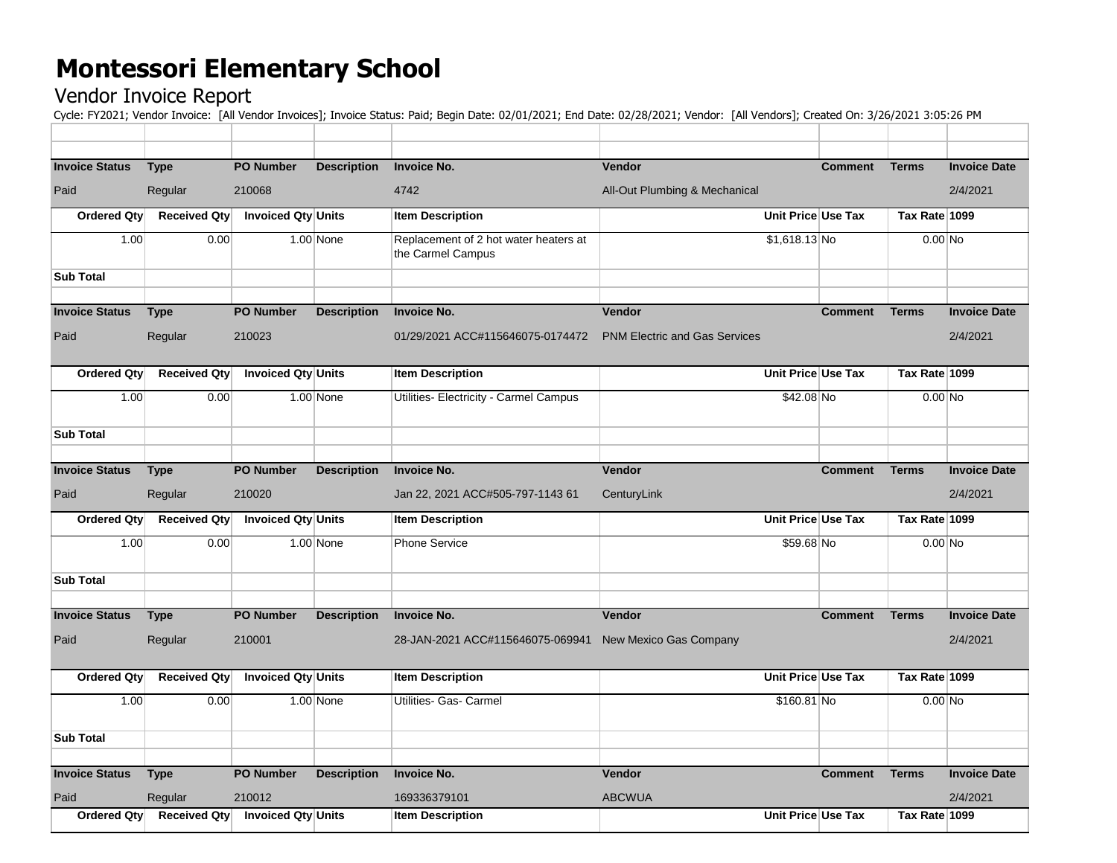## **Montessori Elementary School**

## Vendor Invoice Report

Cycle: FY2021; Vendor Invoice: [All Vendor Invoices]; Invoice Status: Paid; Begin Date: 02/01/2021; End Date: 02/28/2021; Vendor: [All Vendors]; Created On: 3/26/2021 3:05:26 PM

| <b>Invoice Status</b> | <b>Type</b>                    | <b>PO Number</b>          | <b>Description</b> | <b>Invoice No.</b>                                         | <b>Vendor</b>                        |                    | <b>Comment</b> | <b>Terms</b>  | <b>Invoice Date</b> |
|-----------------------|--------------------------------|---------------------------|--------------------|------------------------------------------------------------|--------------------------------------|--------------------|----------------|---------------|---------------------|
| Paid                  | Regular                        | 210068                    |                    | 4742                                                       | All-Out Plumbing & Mechanical        |                    |                |               | 2/4/2021            |
| <b>Ordered Qty</b>    | <b>Received Qty</b>            | <b>Invoiced Qty Units</b> |                    | <b>Item Description</b>                                    |                                      | Unit Price Use Tax |                | Tax Rate 1099 |                     |
| 1.00                  | 0.00                           |                           | $1.00$ None        | Replacement of 2 hot water heaters at<br>the Carmel Campus |                                      | $$1,618.13$ No     |                | $0.00$ No     |                     |
| <b>Sub Total</b>      |                                |                           |                    |                                                            |                                      |                    |                |               |                     |
| <b>Invoice Status</b> | <b>Type</b>                    | <b>PO Number</b>          | <b>Description</b> | <b>Invoice No.</b>                                         | Vendor                               |                    | <b>Comment</b> | <b>Terms</b>  | <b>Invoice Date</b> |
| Paid                  | Regular                        | 210023                    |                    | 01/29/2021 ACC#115646075-0174472                           | <b>PNM Electric and Gas Services</b> |                    |                |               | 2/4/2021            |
| <b>Ordered Qty</b>    | <b>Received Qty</b>            | <b>Invoiced Qty Units</b> |                    | <b>Item Description</b>                                    |                                      | Unit Price Use Tax |                | Tax Rate 1099 |                     |
| 1.00                  | 0.00                           |                           | $1.00$ None        | Utilities- Electricity - Carmel Campus                     |                                      | \$42.08 No         |                | $0.00$ No     |                     |
| <b>Sub Total</b>      |                                |                           |                    |                                                            |                                      |                    |                |               |                     |
|                       |                                | <b>PO Number</b>          |                    | <b>Invoice No.</b>                                         | Vendor                               |                    | <b>Comment</b> | <b>Terms</b>  | <b>Invoice Date</b> |
| <b>Invoice Status</b> | <b>Type</b>                    |                           | <b>Description</b> |                                                            |                                      |                    |                |               |                     |
| Paid                  | Regular                        | 210020                    |                    | Jan 22, 2021 ACC#505-797-1143 61                           | CenturyLink                          |                    |                |               | 2/4/2021            |
| <b>Ordered Qty</b>    | <b>Received Qty</b>            | <b>Invoiced Qty Units</b> |                    | <b>Item Description</b>                                    |                                      | Unit Price Use Tax |                | Tax Rate 1099 |                     |
| 1.00                  | 0.00                           |                           | $1.00$ None        | <b>Phone Service</b>                                       |                                      | \$59.68 No         |                | $0.00$ No     |                     |
| <b>Sub Total</b>      |                                |                           |                    |                                                            |                                      |                    |                |               |                     |
| <b>Invoice Status</b> | <b>Type</b>                    | <b>PO Number</b>          | <b>Description</b> | <b>Invoice No.</b>                                         | Vendor                               |                    | <b>Comment</b> | <b>Terms</b>  | <b>Invoice Date</b> |
| Paid                  | Regular                        | 210001                    |                    | 28-JAN-2021 ACC#115646075-069941                           | New Mexico Gas Company               |                    |                |               | 2/4/2021            |
|                       |                                |                           |                    |                                                            |                                      |                    |                |               |                     |
| <b>Ordered Qty</b>    | <b>Received Qty</b>            | <b>Invoiced Qty Units</b> |                    | <b>Item Description</b>                                    |                                      | Unit Price Use Tax |                | Tax Rate 1099 |                     |
| 1.00                  | 0.00                           |                           | $1.00$ None        | Utilities- Gas- Carmel                                     |                                      | \$160.81 No        |                | $0.00$ No     |                     |
| <b>Sub Total</b>      |                                |                           |                    |                                                            |                                      |                    |                |               |                     |
| <b>Invoice Status</b> | <b>Type</b>                    | <b>PO Number</b>          | <b>Description</b> | <b>Invoice No.</b>                                         | Vendor                               |                    | <b>Comment</b> | <b>Terms</b>  | <b>Invoice Date</b> |
| Paid                  |                                | 210012                    |                    | 169336379101                                               | <b>ABCWUA</b>                        |                    |                |               | 2/4/2021            |
| Ordered Qty           | Regular<br><b>Received Qty</b> | Invoiced Qty Units        |                    | <b>Item Description</b>                                    |                                      | Unit Price Use Tax |                | Tax Rate 1099 |                     |
|                       |                                |                           |                    |                                                            |                                      |                    |                |               |                     |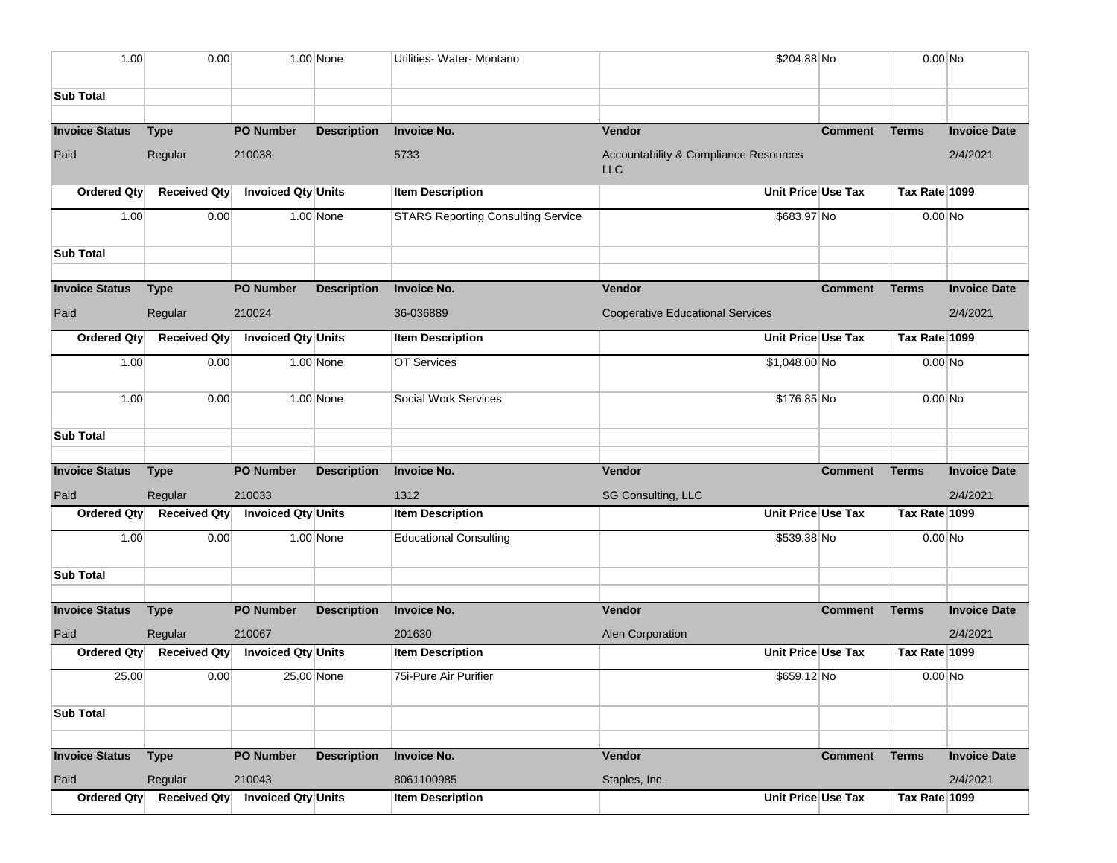| 1.00                  | 0.00                |                           | $1.00$ None        | Utilities- Water- Montano                 | \$204.88 No                                         |                | $0.00$ No     |                     |
|-----------------------|---------------------|---------------------------|--------------------|-------------------------------------------|-----------------------------------------------------|----------------|---------------|---------------------|
|                       |                     |                           |                    |                                           |                                                     |                |               |                     |
| <b>Sub Total</b>      |                     |                           |                    |                                           |                                                     |                |               |                     |
| <b>Invoice Status</b> | <b>Type</b>         | <b>PO Number</b>          | <b>Description</b> | <b>Invoice No.</b>                        | Vendor                                              | <b>Comment</b> | <b>Terms</b>  | <b>Invoice Date</b> |
| Paid                  | Regular             | 210038                    |                    | 5733                                      | Accountability & Compliance Resources<br><b>LLC</b> |                |               | 2/4/2021            |
| Ordered Qtv           | <b>Received Qty</b> | Invoiced Qty Units        |                    | <b>Item Description</b>                   | Unit Price Use Tax                                  |                | Tax Rate 1099 |                     |
| 1.00                  | 0.00                |                           | 1.00 None          | <b>STARS Reporting Consulting Service</b> | \$683.97 No                                         |                | $0.00$ No     |                     |
| <b>Sub Total</b>      |                     |                           |                    |                                           |                                                     |                |               |                     |
|                       |                     |                           |                    |                                           |                                                     |                |               |                     |
| <b>Invoice Status</b> | <b>Type</b>         | <b>PO Number</b>          | <b>Description</b> | <b>Invoice No.</b>                        | <b>Vendor</b>                                       | <b>Comment</b> | <b>Terms</b>  | <b>Invoice Date</b> |
| Paid                  | Regular             | 210024                    |                    | 36-036889                                 | <b>Cooperative Educational Services</b>             |                |               | 2/4/2021            |
| Ordered Qty           | <b>Received Qty</b> | Invoiced Qty Units        |                    | <b>Item Description</b>                   | Unit Price Use Tax                                  |                | Tax Rate 1099 |                     |
| 1.00                  | 0.00                |                           | 1.00 None          | <b>OT Services</b>                        | $$1,048.00$ No                                      |                | $0.00$ No     |                     |
| 1.00                  | 0.00                |                           | $1.00$ None        | Social Work Services                      | \$176.85 No                                         |                | $0.00$ No     |                     |
| <b>Sub Total</b>      |                     |                           |                    |                                           |                                                     |                |               |                     |
| <b>Invoice Status</b> | <b>Type</b>         | <b>PO Number</b>          | <b>Description</b> | <b>Invoice No.</b>                        | <b>Vendor</b>                                       | <b>Comment</b> | <b>Terms</b>  | <b>Invoice Date</b> |
| Paid                  | Regular             | 210033                    |                    | 1312                                      | SG Consulting, LLC                                  |                |               | 2/4/2021            |
| Ordered Qty           | <b>Received Qty</b> | Invoiced Qty Units        |                    | <b>Item Description</b>                   | Unit Price Use Tax                                  |                | Tax Rate 1099 |                     |
| 1.00                  | 0.00                |                           | 1.00 None          | <b>Educational Consulting</b>             | \$539.38 No                                         |                | $0.00$ No     |                     |
| <b>Sub Total</b>      |                     |                           |                    |                                           |                                                     |                |               |                     |
|                       |                     |                           |                    |                                           |                                                     |                |               |                     |
| <b>Invoice Status</b> | <b>Type</b>         | <b>PO Number</b>          | <b>Description</b> | <b>Invoice No.</b>                        | Vendor                                              | <b>Comment</b> | <b>Terms</b>  | <b>Invoice Date</b> |
| Paid                  | Regular             | 210067                    |                    | 201630                                    | Alen Corporation                                    |                |               | 2/4/2021            |
| Ordered Qty           | <b>Received Qty</b> | <b>Invoiced Qty Units</b> |                    | <b>Item Description</b>                   | Unit Price Use Tax                                  |                | Tax Rate 1099 |                     |
| 25.00                 | 0.00                |                           | 25.00 None         | 75i-Pure Air Purifier                     | \$659.12 No                                         |                | 0.00 No       |                     |
| <b>Sub Total</b>      |                     |                           |                    |                                           |                                                     |                |               |                     |
|                       |                     |                           |                    |                                           |                                                     |                |               |                     |
| <b>Invoice Status</b> | <b>Type</b>         | <b>PO Number</b>          | <b>Description</b> | <b>Invoice No.</b>                        | Vendor                                              | <b>Comment</b> | <b>Terms</b>  | <b>Invoice Date</b> |
| Paid                  | Regular             | 210043                    |                    | 8061100985                                | Staples, Inc.                                       |                |               | 2/4/2021            |
| <b>Ordered Qty</b>    | <b>Received Qty</b> | <b>Invoiced Qty Units</b> |                    | <b>Item Description</b>                   | Unit Price Use Tax                                  |                | Tax Rate 1099 |                     |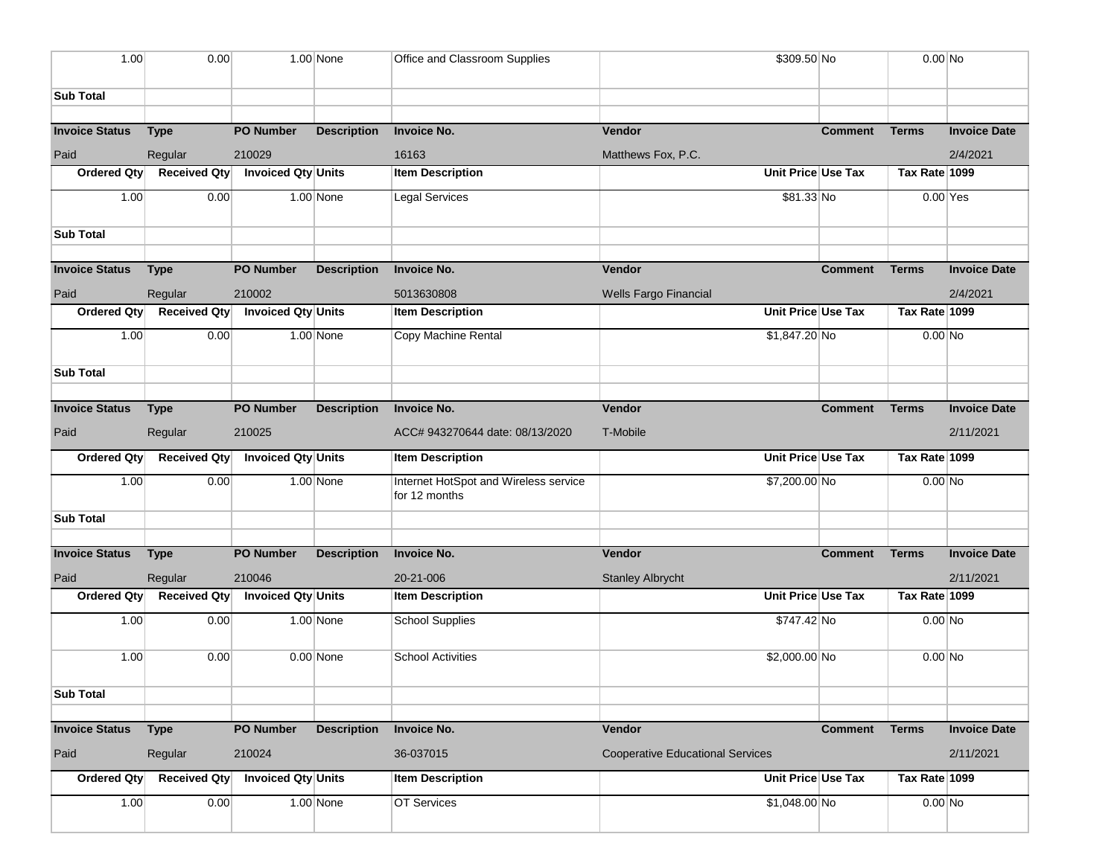| 1.00                  | 0.00                |                           | $1.00$ None        | Office and Classroom Supplies                          | \$309.50 No                             |                    | $0.00$ No     |                     |
|-----------------------|---------------------|---------------------------|--------------------|--------------------------------------------------------|-----------------------------------------|--------------------|---------------|---------------------|
| <b>Sub Total</b>      |                     |                           |                    |                                                        |                                         |                    |               |                     |
|                       |                     |                           |                    |                                                        |                                         |                    |               |                     |
| <b>Invoice Status</b> | <b>Type</b>         | <b>PO Number</b>          | <b>Description</b> | <b>Invoice No.</b>                                     | Vendor                                  | <b>Comment</b>     | <b>Terms</b>  | <b>Invoice Date</b> |
| Paid                  | Regular             | 210029                    |                    | 16163                                                  | Matthews Fox, P.C.                      |                    |               | 2/4/2021            |
| Ordered Qty           | <b>Received Qty</b> | <b>Invoiced Qty Units</b> |                    | <b>Item Description</b>                                |                                         | Unit Price Use Tax | Tax Rate 1099 |                     |
| 1.00                  | 0.00                |                           | $1.00$ None        | Legal Services                                         | \$81.33 No                              |                    | $0.00$ Yes    |                     |
| <b>Sub Total</b>      |                     |                           |                    |                                                        |                                         |                    |               |                     |
| <b>Invoice Status</b> |                     | <b>PO Number</b>          | <b>Description</b> | <b>Invoice No.</b>                                     | Vendor                                  | <b>Comment</b>     | <b>Terms</b>  | <b>Invoice Date</b> |
|                       | <b>Type</b>         |                           |                    |                                                        |                                         |                    |               |                     |
| Paid                  | Regular             | 210002                    |                    | 5013630808                                             | Wells Fargo Financial                   |                    |               | 2/4/2021            |
| Ordered Qty           | <b>Received Qty</b> | Invoiced Qty Units        |                    | <b>Item Description</b>                                |                                         | Unit Price Use Tax | Tax Rate 1099 |                     |
| 1.00                  | 0.00                |                           | $1.00$ None        | Copy Machine Rental                                    | \$1,847.20 No                           |                    | $0.00$ No     |                     |
| <b>Sub Total</b>      |                     |                           |                    |                                                        |                                         |                    |               |                     |
|                       |                     |                           |                    |                                                        |                                         |                    |               |                     |
| <b>Invoice Status</b> | <b>Type</b>         | <b>PO Number</b>          | <b>Description</b> | <b>Invoice No.</b>                                     | Vendor                                  | <b>Comment</b>     | <b>Terms</b>  | <b>Invoice Date</b> |
| Paid                  | Regular             | 210025                    |                    | ACC# 943270644 date: 08/13/2020                        | T-Mobile                                |                    |               | 2/11/2021           |
| <b>Ordered Qty</b>    | <b>Received Qty</b> | Invoiced Qty Units        |                    | <b>Item Description</b>                                |                                         | Unit Price Use Tax | Tax Rate 1099 |                     |
| 1.00                  | 0.00                |                           | $1.00$ None        | Internet HotSpot and Wireless service<br>for 12 months | \$7,200.00 No                           |                    | $0.00$ No     |                     |
| <b>Sub Total</b>      |                     |                           |                    |                                                        |                                         |                    |               |                     |
|                       |                     |                           |                    |                                                        |                                         |                    |               |                     |
| <b>Invoice Status</b> | <b>Type</b>         | <b>PO Number</b>          | <b>Description</b> | <b>Invoice No.</b>                                     | Vendor                                  | <b>Comment</b>     | <b>Terms</b>  | <b>Invoice Date</b> |
| Paid                  | Regular             | 210046                    |                    | 20-21-006                                              | <b>Stanley Albrycht</b>                 |                    |               | 2/11/2021           |
| Ordered Qty           | <b>Received Qty</b> | Invoiced Qty Units        |                    | <b>Item Description</b>                                |                                         | Unit Price Use Tax | Tax Rate 1099 |                     |
| 1.00                  | 0.00                |                           | $1.00$ None        | <b>School Supplies</b>                                 | \$747.42 No                             |                    | $0.00$ No     |                     |
| 1.00                  | 0.00                |                           | $0.00$ None        | <b>School Activities</b>                               | $$2,000.00 $ No                         |                    | $0.00$ No     |                     |
| <b>Sub Total</b>      |                     |                           |                    |                                                        |                                         |                    |               |                     |
|                       |                     |                           |                    |                                                        |                                         |                    |               |                     |
| <b>Invoice Status</b> | <b>Type</b>         | <b>PO Number</b>          | <b>Description</b> | <b>Invoice No.</b>                                     | Vendor                                  | <b>Comment</b>     | <b>Terms</b>  | <b>Invoice Date</b> |
| Paid                  | Regular             | 210024                    |                    | 36-037015                                              | <b>Cooperative Educational Services</b> |                    |               | 2/11/2021           |
| Ordered Qty           | <b>Received Qty</b> | Invoiced Qty Units        |                    | <b>Item Description</b>                                |                                         | Unit Price Use Tax | Tax Rate 1099 |                     |
| 1.00                  | 0.00                |                           | $1.00$ None        | OT Services                                            | $$1,048.00$ No                          |                    | $0.00$ No     |                     |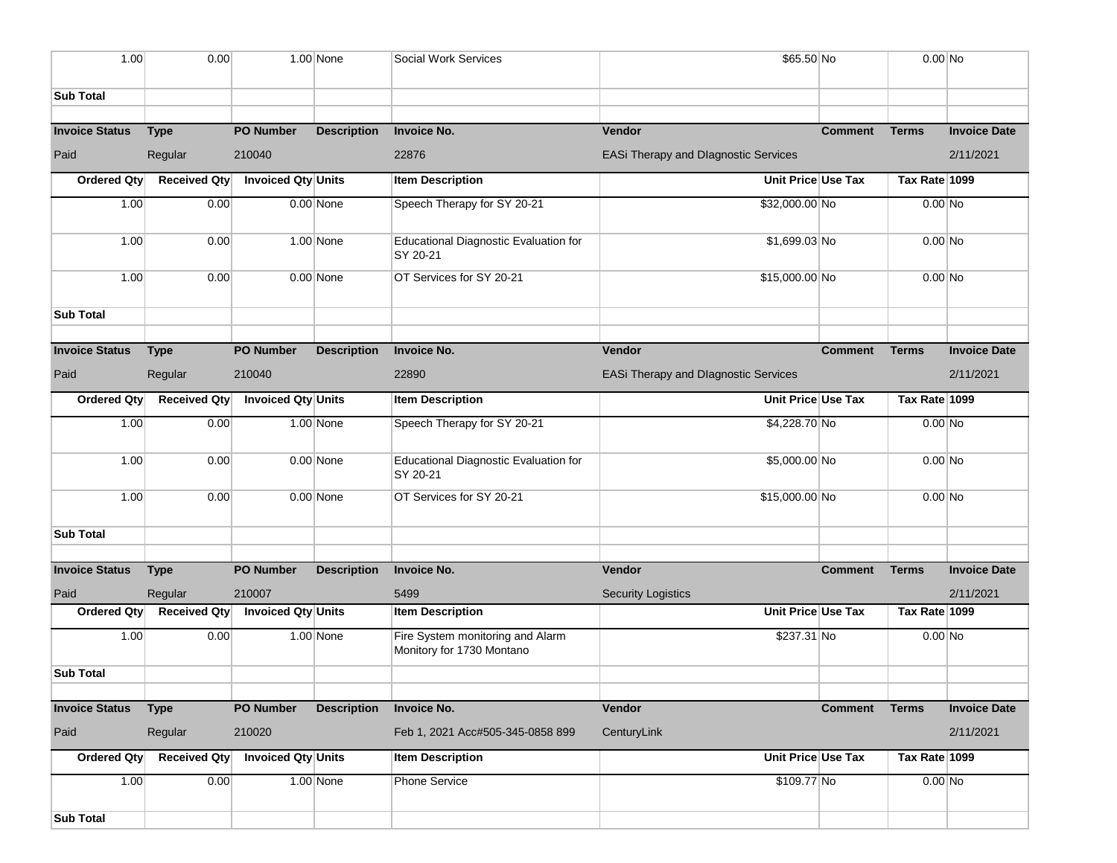| 1.00                  | 0.00                   |                           | $1.00$ None        | Social Work Services                                          | \$65.50 No                                  |                | $0.00$ No     |                     |
|-----------------------|------------------------|---------------------------|--------------------|---------------------------------------------------------------|---------------------------------------------|----------------|---------------|---------------------|
|                       |                        |                           |                    |                                                               |                                             |                |               |                     |
| <b>Sub Total</b>      |                        |                           |                    |                                                               |                                             |                |               |                     |
|                       |                        |                           |                    |                                                               |                                             |                |               |                     |
| <b>Invoice Status</b> | <b>Type</b>            | <b>PO Number</b>          | <b>Description</b> | <b>Invoice No.</b>                                            | Vendor                                      | <b>Comment</b> | <b>Terms</b>  | <b>Invoice Date</b> |
| Paid                  | Regular                | 210040                    |                    | 22876                                                         | <b>EASi Therapy and Dlagnostic Services</b> |                |               | 2/11/2021           |
| Ordered Qty           | <b>Received Qty</b>    | Invoiced Qty Units        |                    | <b>Item Description</b>                                       | Unit Price Use Tax                          |                | Tax Rate 1099 |                     |
| 1.00                  | 0.00                   |                           | $0.00$ None        | Speech Therapy for SY 20-21                                   | \$32,000.00 No                              |                | $0.00$ No     |                     |
| 1.00                  | 0.00                   |                           | $1.00$ None        | <b>Educational Diagnostic Evaluation for</b><br>SY 20-21      | $$1,699.03$ No                              |                | $0.00$ No     |                     |
| 1.00                  | 0.00                   |                           | $0.00$ None        | OT Services for SY 20-21                                      | \$15,000.00 No                              |                | 0.00 No       |                     |
| <b>Sub Total</b>      |                        |                           |                    |                                                               |                                             |                |               |                     |
| <b>Invoice Status</b> | <b>Type</b>            | <b>PO Number</b>          | <b>Description</b> | <b>Invoice No.</b>                                            | Vendor                                      | <b>Comment</b> | <b>Terms</b>  | <b>Invoice Date</b> |
| Paid                  | Regular                | 210040                    |                    | 22890                                                         | <b>EASi Therapy and Dlagnostic Services</b> |                |               | 2/11/2021           |
| Ordered Qty           | <b>Received Qty</b>    | Invoiced Qty Units        |                    | <b>Item Description</b>                                       | Unit Price Use Tax                          |                | Tax Rate 1099 |                     |
| 1.00                  | 0.00                   |                           | 1.00 None          | Speech Therapy for SY 20-21                                   | \$4,228.70 No                               |                | $0.00$ No     |                     |
| 1.00                  | 0.00                   |                           | $0.00$ None        | <b>Educational Diagnostic Evaluation for</b><br>SY 20-21      | \$5,000.00 No                               |                | $0.00$ No     |                     |
| 1.00                  | 0.00                   |                           | $0.00$ None        | OT Services for SY 20-21                                      | \$15,000.00 No                              |                | $0.00$ No     |                     |
| <b>Sub Total</b>      |                        |                           |                    |                                                               |                                             |                |               |                     |
|                       |                        |                           |                    |                                                               |                                             |                |               |                     |
| <b>Invoice Status</b> | <b>Type</b>            | <b>PO Number</b>          | <b>Description</b> | <b>Invoice No.</b>                                            | Vendor                                      | <b>Comment</b> | <b>Terms</b>  | <b>Invoice Date</b> |
| Paid                  | Regular                | 210007                    |                    | 5499                                                          | <b>Security Logistics</b>                   |                |               | 2/11/2021           |
| Ordered Qty           | <b>Received Qty</b>    | Invoiced Qty Units        |                    | <b>Item Description</b>                                       | Unit Price Use Tax                          |                | Tax Rate 1099 |                     |
| 1.00                  | 0.00                   |                           | 1.00 None          | Fire System monitoring and Alarm<br>Monitory for 1730 Montano | \$237.31 No                                 |                | $0.00$ No     |                     |
| <b>Sub Total</b>      |                        |                           |                    |                                                               |                                             |                |               |                     |
| <b>Invoice Status</b> |                        | <b>PO Number</b>          | <b>Description</b> | <b>Invoice No.</b>                                            | Vendor                                      | <b>Comment</b> | <b>Terms</b>  | <b>Invoice Date</b> |
| Paid                  | <b>Type</b><br>Regular | 210020                    |                    | Feb 1, 2021 Acc#505-345-0858 899                              | CenturyLink                                 |                |               | 2/11/2021           |
| Ordered Qty           | <b>Received Qty</b>    | <b>Invoiced Qty Units</b> |                    | <b>Item Description</b>                                       | Unit Price Use Tax                          |                | Tax Rate 1099 |                     |
| 1.00                  | 0.00                   |                           | $1.00$ None        | <b>Phone Service</b>                                          | \$109.77 No                                 |                | $0.00$ No     |                     |
|                       |                        |                           |                    |                                                               |                                             |                |               |                     |
| <b>Sub Total</b>      |                        |                           |                    |                                                               |                                             |                |               |                     |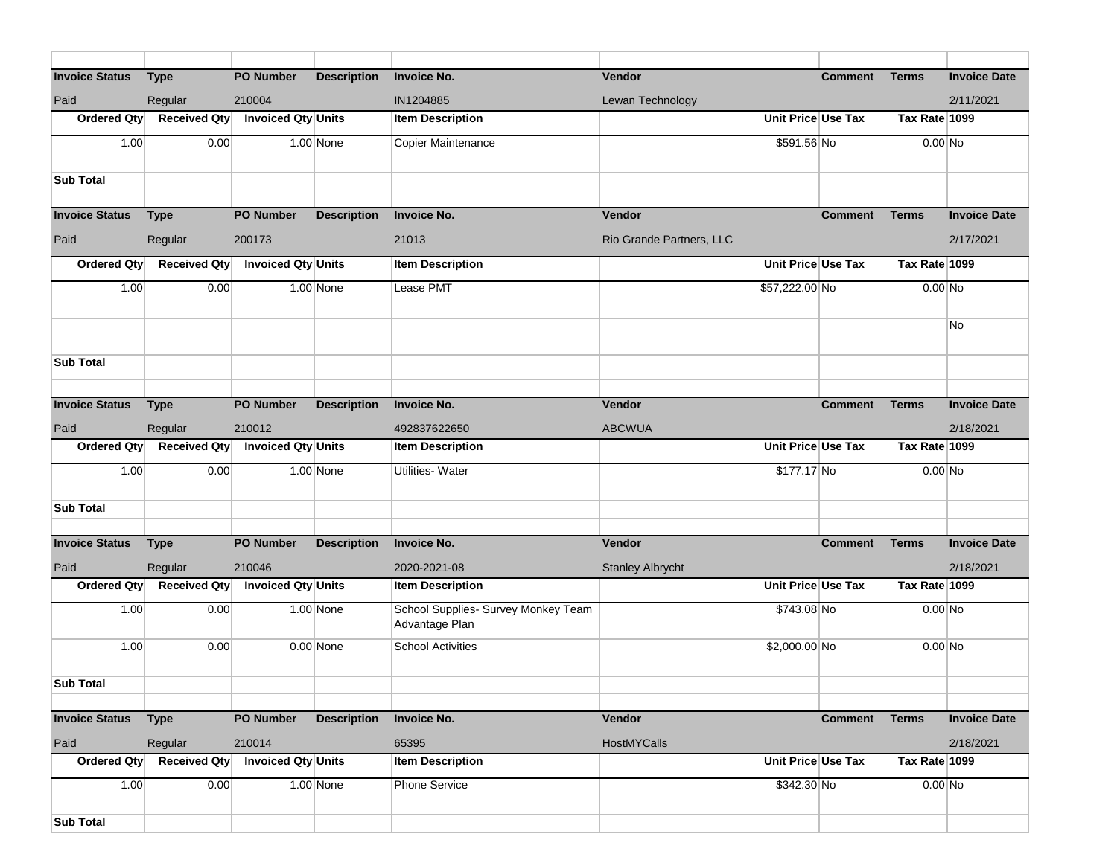| <b>Invoice Status</b> | <b>Type</b>         | <b>PO Number</b>          | <b>Description</b> | <b>Invoice No.</b>                  | <b>Vendor</b>            |                    | <b>Comment</b>     | <b>Terms</b>  | <b>Invoice Date</b> |
|-----------------------|---------------------|---------------------------|--------------------|-------------------------------------|--------------------------|--------------------|--------------------|---------------|---------------------|
| Paid                  | Regular             | 210004                    |                    | IN1204885                           | Lewan Technology         |                    |                    |               | 2/11/2021           |
| Ordered Qty           | <b>Received Qty</b> | Invoiced Qty Units        |                    | <b>Item Description</b>             |                          |                    | Unit Price Use Tax | Tax Rate 1099 |                     |
| 1.00                  | 0.00                |                           | 1.00 None          | Copier Maintenance                  |                          | \$591.56 No        |                    | $0.00$ No     |                     |
|                       |                     |                           |                    |                                     |                          |                    |                    |               |                     |
| <b>Sub Total</b>      |                     |                           |                    |                                     |                          |                    |                    |               |                     |
|                       |                     |                           |                    |                                     |                          |                    |                    |               |                     |
| <b>Invoice Status</b> | <b>Type</b>         | <b>PO Number</b>          | <b>Description</b> | <b>Invoice No.</b>                  | Vendor                   |                    | <b>Comment</b>     | <b>Terms</b>  | <b>Invoice Date</b> |
| Paid                  | Regular             | 200173                    |                    | 21013                               | Rio Grande Partners, LLC |                    |                    |               | 2/17/2021           |
| Ordered Qty           | <b>Received Qty</b> | <b>Invoiced Qty Units</b> |                    | <b>Item Description</b>             |                          |                    | Unit Price Use Tax | Tax Rate 1099 |                     |
| 1.00                  | 0.00                |                           | 1.00 None          | Lease PMT                           |                          | \$57,222.00 No     |                    | $0.00$ No     |                     |
|                       |                     |                           |                    |                                     |                          |                    |                    |               |                     |
|                       |                     |                           |                    |                                     |                          |                    |                    |               | No                  |
|                       |                     |                           |                    |                                     |                          |                    |                    |               |                     |
| <b>Sub Total</b>      |                     |                           |                    |                                     |                          |                    |                    |               |                     |
|                       |                     |                           |                    |                                     |                          |                    |                    |               |                     |
| <b>Invoice Status</b> | <b>Type</b>         | <b>PO Number</b>          | <b>Description</b> | <b>Invoice No.</b>                  | Vendor                   |                    | <b>Comment</b>     | <b>Terms</b>  | <b>Invoice Date</b> |
| Paid                  | Regular             | 210012                    |                    | 492837622650                        | <b>ABCWUA</b>            |                    |                    |               | 2/18/2021           |
|                       |                     |                           |                    |                                     |                          |                    |                    |               |                     |
| Ordered Qty           | <b>Received Qty</b> | Invoiced Qty Units        |                    | <b>Item Description</b>             |                          | Unit Price Use Tax |                    | Tax Rate 1099 |                     |
| 1.00                  | 0.00                |                           | $1.00$ None        | <b>Utilities-Water</b>              |                          | \$177.17 No        |                    | $0.00$ No     |                     |
|                       |                     |                           |                    |                                     |                          |                    |                    |               |                     |
| <b>Sub Total</b>      |                     |                           |                    |                                     |                          |                    |                    |               |                     |
|                       |                     |                           |                    |                                     |                          |                    |                    |               |                     |
| <b>Invoice Status</b> | <b>Type</b>         | <b>PO Number</b>          | <b>Description</b> | <b>Invoice No.</b>                  | Vendor                   |                    | <b>Comment</b>     | <b>Terms</b>  | <b>Invoice Date</b> |
| Paid                  | Regular             | 210046                    |                    | 2020-2021-08                        | <b>Stanley Albrycht</b>  |                    |                    |               | 2/18/2021           |
| Ordered Qty           | <b>Received Qty</b> | <b>Invoiced Qty Units</b> |                    | <b>Item Description</b>             |                          |                    | Unit Price Use Tax | Tax Rate 1099 |                     |
| 1.00                  | 0.00                |                           | $1.00$ None        | School Supplies- Survey Monkey Team |                          | \$743.08 No        |                    | $0.00$ No     |                     |
|                       |                     |                           |                    | Advantage Plan                      |                          |                    |                    |               |                     |
| 1.00                  | 0.00                |                           | $0.00$ None        | <b>School Activities</b>            |                          | \$2,000.00 No      |                    | $0.00$ No     |                     |
|                       |                     |                           |                    |                                     |                          |                    |                    |               |                     |
| <b>Sub Total</b>      |                     |                           |                    |                                     |                          |                    |                    |               |                     |
| <b>Invoice Status</b> | <b>Type</b>         | <b>PO Number</b>          | <b>Description</b> | <b>Invoice No.</b>                  | Vendor                   |                    | <b>Comment</b>     | <b>Terms</b>  | <b>Invoice Date</b> |
| Paid                  | Regular             | 210014                    |                    | 65395                               | HostMYCalls              |                    |                    |               | 2/18/2021           |
| Ordered Qty           | <b>Received Qty</b> | Invoiced Qty Units        |                    | <b>Item Description</b>             |                          |                    | Unit Price Use Tax | Tax Rate 1099 |                     |
| 1.00                  | 0.00                |                           | $1.00$ None        | <b>Phone Service</b>                |                          | $$342.30$ No       |                    | $0.00$ No     |                     |
|                       |                     |                           |                    |                                     |                          |                    |                    |               |                     |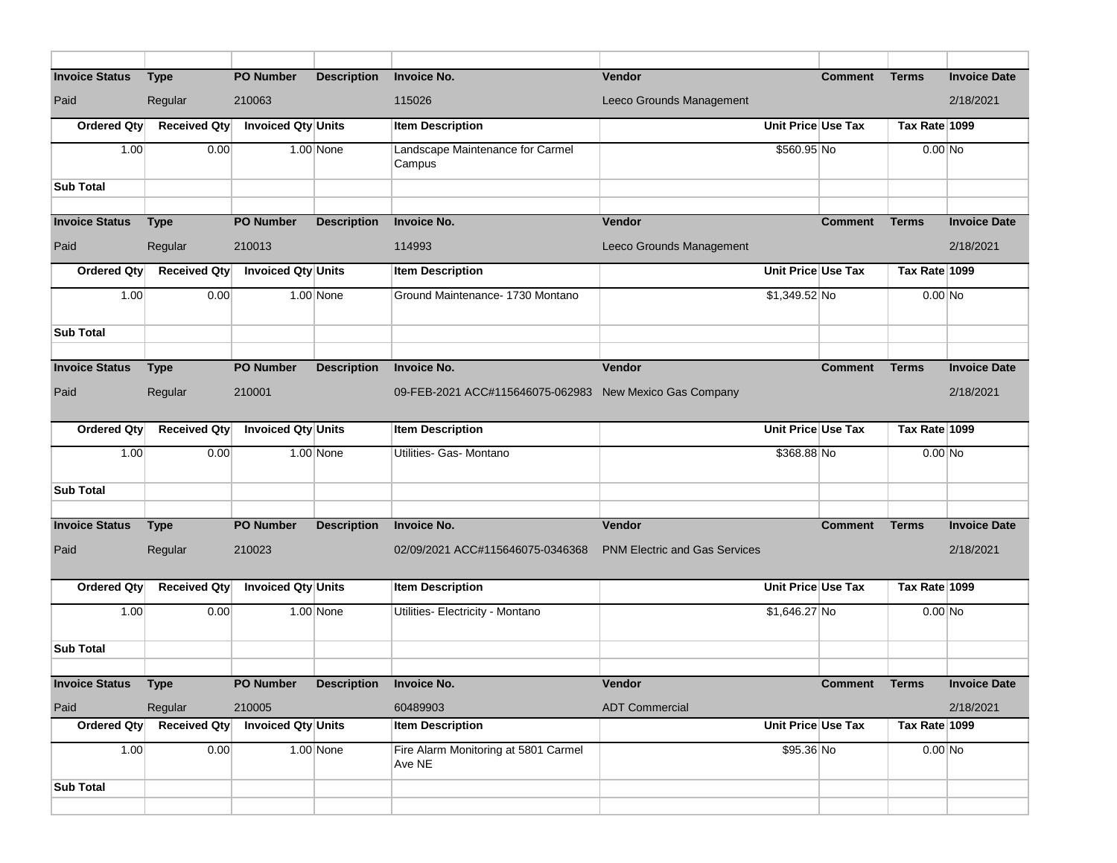| <b>Invoice Status</b> | <b>Type</b>         | <b>PO Number</b>                  | <b>Description</b> | <b>Invoice No.</b>                                      | <b>Vendor</b>                        | <b>Comment</b>       | <b>Terms</b>  | <b>Invoice Date</b> |
|-----------------------|---------------------|-----------------------------------|--------------------|---------------------------------------------------------|--------------------------------------|----------------------|---------------|---------------------|
| Paid                  | Regular             | 210063                            |                    | 115026                                                  | Leeco Grounds Management             |                      |               | 2/18/2021           |
| Ordered Qty           | <b>Received Qty</b> | Invoiced Qty Units                |                    | <b>Item Description</b>                                 |                                      | Unit Price Use Tax   | Tax Rate 1099 |                     |
| 1.00                  | 0.00                |                                   | $1.00$ None        | Landscape Maintenance for Carmel<br>Campus              |                                      | \$560.95 No          | $0.00$ No     |                     |
| <b>Sub Total</b>      |                     |                                   |                    |                                                         |                                      |                      |               |                     |
|                       |                     |                                   |                    |                                                         |                                      |                      |               |                     |
| <b>Invoice Status</b> | <b>Type</b>         | <b>PO Number</b>                  | <b>Description</b> | <b>Invoice No.</b>                                      | Vendor                               | <b>Comment</b>       | <b>Terms</b>  | <b>Invoice Date</b> |
| Paid                  | Regular             | 210013                            |                    | 114993                                                  | Leeco Grounds Management             |                      |               | 2/18/2021           |
| Ordered Qty           | <b>Received Qty</b> | Invoiced Qty Units                |                    | <b>Item Description</b>                                 |                                      | Unit Price Use Tax   | Tax Rate 1099 |                     |
| 1.00                  | 0.00                |                                   | 1.00 None          | Ground Maintenance- 1730 Montano                        |                                      | $$1,349.52$ No       | $0.00$ No     |                     |
| <b>Sub Total</b>      |                     |                                   |                    |                                                         |                                      |                      |               |                     |
|                       |                     |                                   |                    |                                                         |                                      |                      |               |                     |
| <b>Invoice Status</b> | <b>Type</b>         | <b>PO Number</b>                  | <b>Description</b> | <b>Invoice No.</b>                                      | Vendor                               | <b>Comment</b>       | <b>Terms</b>  | <b>Invoice Date</b> |
| Paid                  | Regular             | 210001                            |                    | 09-FEB-2021 ACC#115646075-062983 New Mexico Gas Company |                                      |                      |               | 2/18/2021           |
| <b>Ordered Qty</b>    | <b>Received Qty</b> | <b>Invoiced Qty Units</b>         |                    | <b>Item Description</b>                                 |                                      | Unit Price Use Tax   | Tax Rate 1099 |                     |
| 1.00                  | 0.00                |                                   | $1.00$ None        | Utilities- Gas- Montano                                 |                                      | \$368.88 No          | $0.00$ No     |                     |
| <b>Sub Total</b>      |                     |                                   |                    |                                                         |                                      |                      |               |                     |
|                       |                     |                                   |                    |                                                         |                                      |                      |               |                     |
| <b>Invoice Status</b> | <b>Type</b>         | <b>PO Number</b>                  | <b>Description</b> | <b>Invoice No.</b>                                      | <b>Vendor</b>                        | <b>Comment</b>       | <b>Terms</b>  | <b>Invoice Date</b> |
| Paid                  | Regular             | 210023                            |                    | 02/09/2021 ACC#115646075-0346368                        | <b>PNM Electric and Gas Services</b> |                      |               | 2/18/2021           |
| <b>Ordered Qty</b>    | <b>Received Qty</b> | Invoiced Qty Units                |                    | <b>Item Description</b>                                 |                                      | Unit Price Use Tax   | Tax Rate 1099 |                     |
| 1.00                  | 0.00                |                                   | $1.00$ None        | Utilities- Electricity - Montano                        |                                      | $$1,646.27$ No       | $0.00$ No     |                     |
| <b>Sub Total</b>      |                     |                                   |                    |                                                         |                                      |                      |               |                     |
|                       |                     |                                   |                    |                                                         |                                      |                      |               |                     |
| <b>Invoice Status</b> | <b>Type</b>         | PO Number Description Invoice No. |                    |                                                         | Vendor                               | <b>Comment</b> Terms |               | <b>Invoice Date</b> |
| Paid                  | Regular             | 210005                            |                    | 60489903                                                | <b>ADT Commercial</b>                |                      |               | 2/18/2021           |
| Ordered Qty           | Received Qty        | <b>Invoiced Qty Units</b>         |                    | <b>Item Description</b>                                 |                                      | Unit Price Use Tax   | Tax Rate 1099 |                     |
| 1.00                  | 0.00                |                                   | $1.00$ None        | Fire Alarm Monitoring at 5801 Carmel<br>Ave NE          |                                      | \$95.36 No           | $0.00$ No     |                     |
| <b>Sub Total</b>      |                     |                                   |                    |                                                         |                                      |                      |               |                     |
|                       |                     |                                   |                    |                                                         |                                      |                      |               |                     |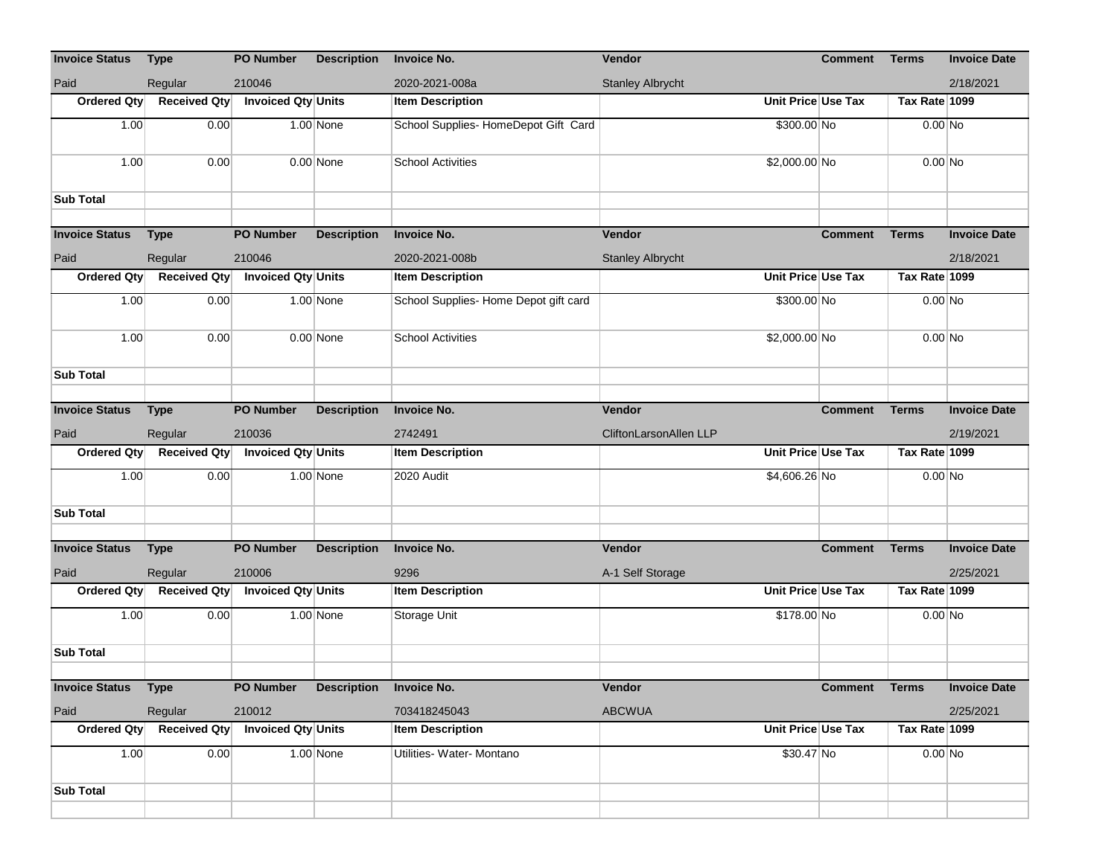| <b>Invoice Status</b> | <b>Type</b>         | <b>PO Number</b>          | <b>Description</b> | <b>Invoice No.</b>                    | Vendor                        |               | <b>Comment</b>       | <b>Terms</b>  | <b>Invoice Date</b> |
|-----------------------|---------------------|---------------------------|--------------------|---------------------------------------|-------------------------------|---------------|----------------------|---------------|---------------------|
| Paid                  | Regular             | 210046                    |                    | 2020-2021-008a                        | <b>Stanley Albrycht</b>       |               |                      |               | 2/18/2021           |
| Ordered Qty           | <b>Received Qty</b> | <b>Invoiced Qty Units</b> |                    | <b>Item Description</b>               |                               |               | Unit Price Use Tax   | Tax Rate 1099 |                     |
| 1.00                  | 0.00                |                           | $1.00$ None        | School Supplies-HomeDepot Gift Card   |                               | \$300.00 No   |                      | $0.00$ No     |                     |
| 1.00                  | 0.00                |                           | $0.00$ None        | <b>School Activities</b>              |                               | \$2,000.00 No |                      | $0.00$ No     |                     |
| <b>Sub Total</b>      |                     |                           |                    |                                       |                               |               |                      |               |                     |
| <b>Invoice Status</b> | <b>Type</b>         | <b>PO Number</b>          | <b>Description</b> | <b>Invoice No.</b>                    | Vendor                        |               | <b>Comment</b>       | <b>Terms</b>  | <b>Invoice Date</b> |
| Paid                  | Regular             | 210046                    |                    | 2020-2021-008b                        | <b>Stanley Albrycht</b>       |               |                      |               | 2/18/2021           |
| Ordered Qty           | <b>Received Qty</b> | Invoiced Qty Units        |                    | <b>Item Description</b>               |                               |               | Unit Price Use Tax   | Tax Rate 1099 |                     |
| 1.00                  | 0.00                |                           | $1.00$ None        | School Supplies- Home Depot gift card |                               | \$300.00 No   |                      | $0.00$ No     |                     |
| 1.00                  | 0.00                |                           | $0.00$ None        | <b>School Activities</b>              |                               | \$2,000.00 No |                      | $0.00$ No     |                     |
| <b>Sub Total</b>      |                     |                           |                    |                                       |                               |               |                      |               |                     |
| <b>Invoice Status</b> | <b>Type</b>         | <b>PO Number</b>          | <b>Description</b> | <b>Invoice No.</b>                    | Vendor                        |               | <b>Comment</b>       | <b>Terms</b>  | <b>Invoice Date</b> |
| Paid                  | Regular             | 210036                    |                    | 2742491                               | <b>CliftonLarsonAllen LLP</b> |               |                      |               | 2/19/2021           |
| Ordered Qty           | <b>Received Qty</b> | Invoiced Qty Units        |                    | <b>Item Description</b>               |                               |               | Unit Price Use Tax   | Tax Rate 1099 |                     |
| 1.00                  | 0.00                |                           | $1.00$ None        | 2020 Audit                            |                               | \$4,606.26 No |                      | $0.00$ No     |                     |
| <b>Sub Total</b>      |                     |                           |                    |                                       |                               |               |                      |               |                     |
|                       |                     |                           |                    |                                       |                               |               |                      |               |                     |
| <b>Invoice Status</b> | <b>Type</b>         | <b>PO Number</b>          | <b>Description</b> | <b>Invoice No.</b>                    | Vendor                        |               | <b>Comment</b>       | <b>Terms</b>  | <b>Invoice Date</b> |
| Paid                  | Regular             | 210006                    |                    | 9296                                  | A-1 Self Storage              |               |                      |               | 2/25/2021           |
| Ordered Qty           | <b>Received Qty</b> | Invoiced Qty Units        |                    | <b>Item Description</b>               |                               |               | Unit Price Use Tax   | Tax Rate 1099 |                     |
| 1.00                  | 0.00                |                           | $1.00$ None        | Storage Unit                          |                               | \$178.00 No   |                      | $0.00$ No     |                     |
| <b>Sub Total</b>      |                     |                           |                    |                                       |                               |               |                      |               |                     |
| <b>Invoice Status</b> | <b>Type</b>         | <b>PO Number</b>          | <b>Description</b> | <b>Invoice No.</b>                    | Vendor                        |               | <b>Comment Terms</b> |               | <b>Invoice Date</b> |
| Paid                  | Regular             | 210012                    |                    | 703418245043                          | <b>ABCWUA</b>                 |               |                      |               | 2/25/2021           |
| Ordered Qty           | <b>Received Qty</b> | <b>Invoiced Qty Units</b> |                    | <b>Item Description</b>               |                               |               | Unit Price Use Tax   | Tax Rate 1099 |                     |
| 1.00                  | 0.00                |                           | $1.00$ None        | Utilities- Water- Montano             |                               | $$30.47$ No   |                      | $0.00$ No     |                     |
|                       |                     |                           |                    |                                       |                               |               |                      |               |                     |
| <b>Sub Total</b>      |                     |                           |                    |                                       |                               |               |                      |               |                     |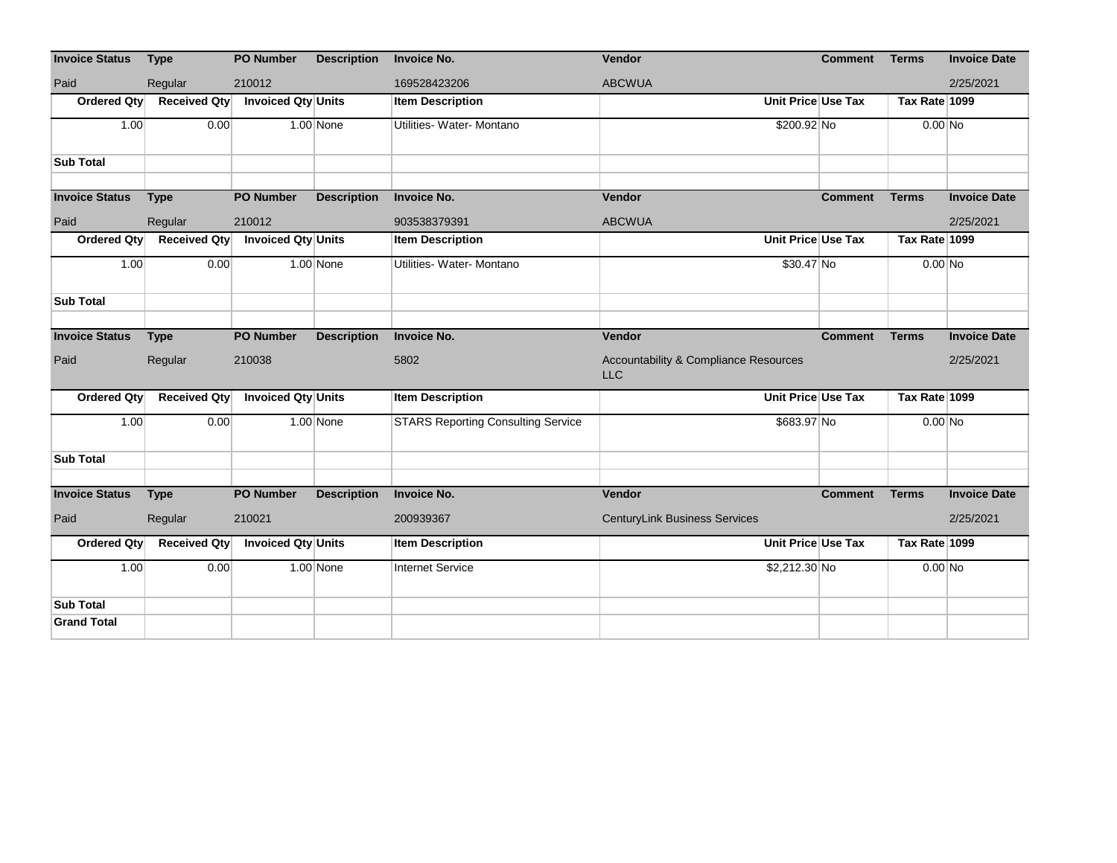| <b>Invoice Status</b> | <b>Type</b>         | <b>PO Number</b>          | <b>Description</b> | <b>Invoice No.</b>                        | Vendor                                                         | <b>Comment</b>     | <b>Terms</b>  | <b>Invoice Date</b> |
|-----------------------|---------------------|---------------------------|--------------------|-------------------------------------------|----------------------------------------------------------------|--------------------|---------------|---------------------|
| Paid                  | Regular             | 210012                    |                    | 169528423206                              | <b>ABCWUA</b>                                                  |                    |               | 2/25/2021           |
| Ordered Qty           | <b>Received Qty</b> | Invoiced Qty Units        |                    | <b>Item Description</b>                   |                                                                | Unit Price Use Tax | Tax Rate 1099 |                     |
| 1.00                  | 0.00                |                           | $1.00$ None        | Utilities- Water- Montano                 | \$200.92 No                                                    |                    | $0.00$ No     |                     |
| <b>Sub Total</b>      |                     |                           |                    |                                           |                                                                |                    |               |                     |
|                       |                     |                           |                    |                                           |                                                                |                    |               |                     |
| <b>Invoice Status</b> | <b>Type</b>         | <b>PO Number</b>          | <b>Description</b> | <b>Invoice No.</b>                        | Vendor                                                         | <b>Comment</b>     | <b>Terms</b>  | <b>Invoice Date</b> |
| Paid                  | Regular             | 210012                    |                    | 903538379391                              | <b>ABCWUA</b>                                                  |                    |               | 2/25/2021           |
| Ordered Qty           | <b>Received Qty</b> | Invoiced Qty Units        |                    | <b>Item Description</b>                   |                                                                | Unit Price Use Tax | Tax Rate 1099 |                     |
| 1.00                  | 0.00                |                           | 1.00 None          | Utilities- Water- Montano                 | $$30.47$ No                                                    |                    | $0.00$ No     |                     |
| <b>Sub Total</b>      |                     |                           |                    |                                           |                                                                |                    |               |                     |
|                       |                     |                           |                    |                                           |                                                                |                    |               |                     |
| <b>Invoice Status</b> | <b>Type</b>         | <b>PO Number</b>          | <b>Description</b> | <b>Invoice No.</b>                        | Vendor                                                         | <b>Comment</b>     | <b>Terms</b>  | <b>Invoice Date</b> |
|                       |                     |                           |                    |                                           |                                                                |                    |               |                     |
| Paid                  | Regular             | 210038                    |                    | 5802                                      | <b>Accountability &amp; Compliance Resources</b><br><b>LLC</b> |                    |               | 2/25/2021           |
| Ordered Qty           | <b>Received Qty</b> | Invoiced Qty Units        |                    | <b>Item Description</b>                   |                                                                | Unit Price Use Tax | Tax Rate 1099 |                     |
| 1.00                  | 0.00                |                           | $1.00$ None        | <b>STARS Reporting Consulting Service</b> | \$683.97 No                                                    |                    | $0.00$ No     |                     |
| <b>Sub Total</b>      |                     |                           |                    |                                           |                                                                |                    |               |                     |
|                       |                     |                           |                    |                                           |                                                                |                    |               |                     |
| <b>Invoice Status</b> | <b>Type</b>         | <b>PO Number</b>          | <b>Description</b> | <b>Invoice No.</b>                        | Vendor                                                         | <b>Comment</b>     | <b>Terms</b>  | <b>Invoice Date</b> |
| Paid                  | Regular             | 210021                    |                    | 200939367                                 | <b>CenturyLink Business Services</b>                           |                    |               | 2/25/2021           |
| Ordered Qty           | <b>Received Qty</b> | <b>Invoiced Qty Units</b> |                    | <b>Item Description</b>                   |                                                                | Unit Price Use Tax | Tax Rate 1099 |                     |
| 1.00                  | 0.00                |                           | 1.00 None          | <b>Internet Service</b>                   | \$2,212.30 No                                                  |                    | $0.00$ No     |                     |
| <b>Sub Total</b>      |                     |                           |                    |                                           |                                                                |                    |               |                     |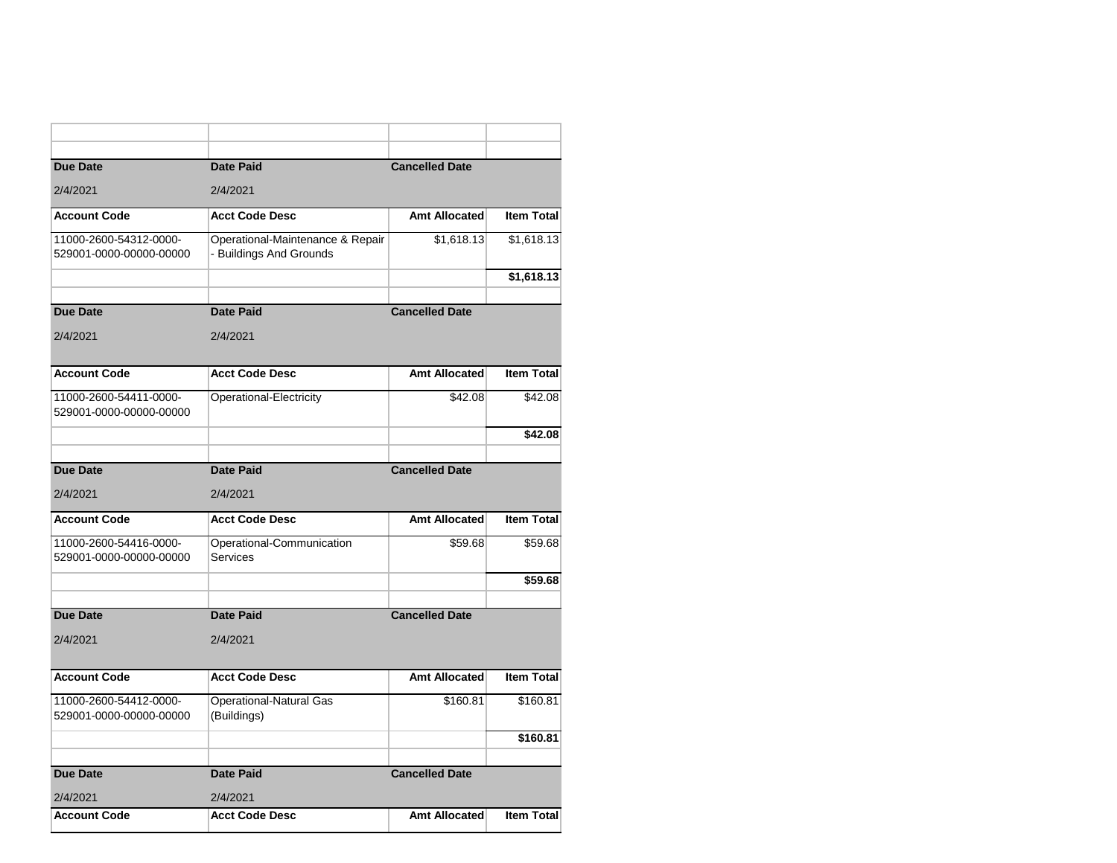| <b>Due Date</b>                                   | <b>Date Paid</b>                                            | <b>Cancelled Date</b> |                   |
|---------------------------------------------------|-------------------------------------------------------------|-----------------------|-------------------|
| 2/4/2021                                          | 2/4/2021                                                    |                       |                   |
|                                                   |                                                             |                       |                   |
| <b>Account Code</b>                               | <b>Acct Code Desc</b>                                       | Amt Allocated         | <b>Item Total</b> |
| 11000-2600-54312-0000-<br>529001-0000-00000-00000 | Operational-Maintenance & Repair<br>- Buildings And Grounds | \$1,618.13            | \$1,618.13        |
|                                                   |                                                             |                       | \$1,618.13        |
|                                                   |                                                             |                       |                   |
| <b>Due Date</b>                                   | <b>Date Paid</b>                                            | <b>Cancelled Date</b> |                   |
| 2/4/2021                                          | 2/4/2021                                                    |                       |                   |
|                                                   |                                                             |                       |                   |
| <b>Account Code</b>                               | <b>Acct Code Desc</b>                                       | <b>Amt Allocated</b>  | <b>Item Total</b> |
| 11000-2600-54411-0000-<br>529001-0000-00000-00000 | Operational-Electricity                                     | \$42.08               | \$42.08           |
|                                                   |                                                             |                       | \$42.08           |
|                                                   |                                                             |                       |                   |
| <b>Due Date</b>                                   | <b>Date Paid</b>                                            | <b>Cancelled Date</b> |                   |
| 2/4/2021                                          | 2/4/2021                                                    |                       |                   |
| <b>Account Code</b>                               | <b>Acct Code Desc</b>                                       | Amt Allocated         | <b>Item Total</b> |
| 11000-2600-54416-0000-                            | Operational-Communication                                   | \$59.68               | \$59.68           |
| 529001-0000-00000-00000                           | <b>Services</b>                                             |                       |                   |
|                                                   |                                                             |                       | \$59.68           |
|                                                   |                                                             |                       |                   |
| <b>Due Date</b>                                   | <b>Date Paid</b>                                            | <b>Cancelled Date</b> |                   |
| 2/4/2021                                          | 2/4/2021                                                    |                       |                   |
|                                                   |                                                             |                       |                   |
| <b>Account Code</b>                               | <b>Acct Code Desc</b>                                       | Amt Allocated         | <b>Item Total</b> |
| 11000-2600-54412-0000-                            | <b>Operational-Natural Gas</b>                              | \$160.81              | \$160.81          |
| 529001-0000-00000-00000                           | (Buildings)                                                 |                       |                   |
|                                                   |                                                             |                       | \$160.81          |
| <b>Due Date</b>                                   | <b>Date Paid</b>                                            | <b>Cancelled Date</b> |                   |
|                                                   |                                                             |                       |                   |
| 2/4/2021<br><b>Account Code</b>                   | 2/4/2021<br><b>Acct Code Desc</b>                           | Amt Allocated         | <b>Item Total</b> |
|                                                   |                                                             |                       |                   |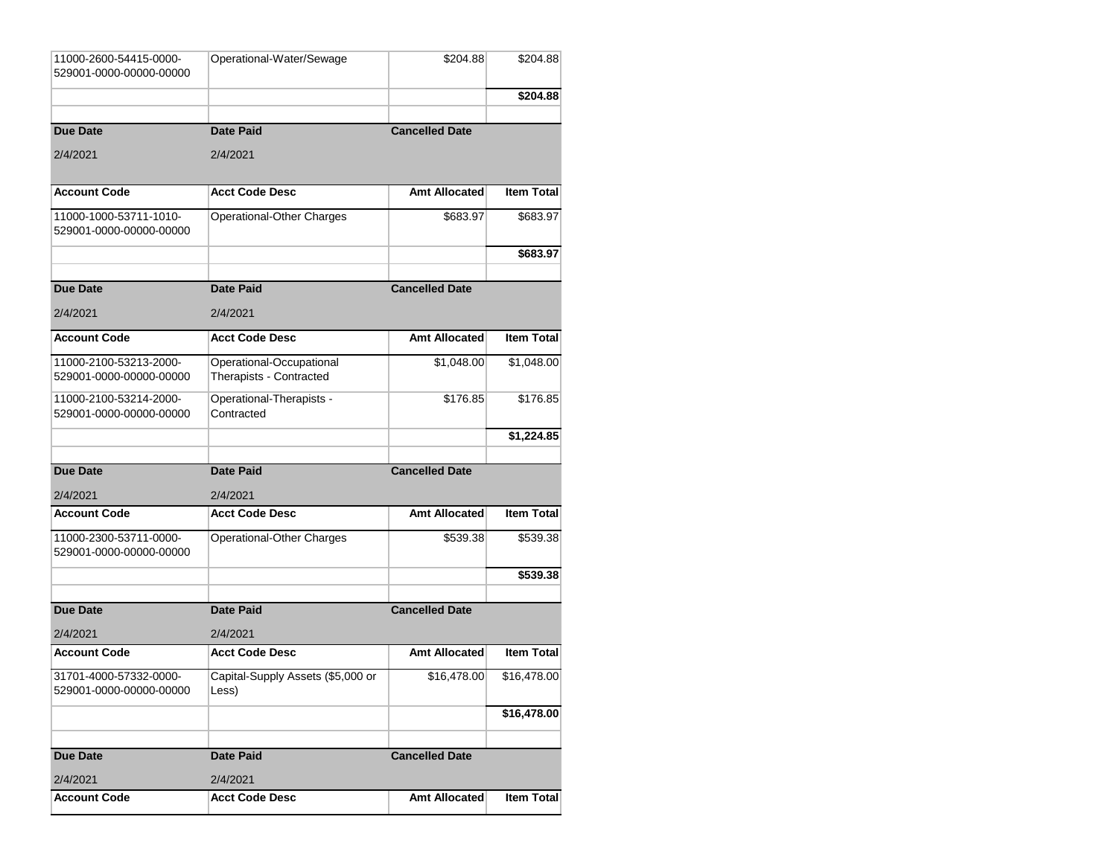| 11000-2600-54415-0000-<br>529001-0000-00000-00000 | Operational-Water/Sewage                            | \$204.88              | \$204.88          |
|---------------------------------------------------|-----------------------------------------------------|-----------------------|-------------------|
|                                                   |                                                     |                       | \$204.88          |
| <b>Due Date</b>                                   | <b>Date Paid</b>                                    | <b>Cancelled Date</b> |                   |
| 2/4/2021                                          | 2/4/2021                                            |                       |                   |
| <b>Account Code</b>                               | <b>Acct Code Desc</b>                               | Amt Allocated         | <b>Item Total</b> |
| 11000-1000-53711-1010-<br>529001-0000-00000-00000 | Operational-Other Charges                           | \$683.97              | \$683.97          |
|                                                   |                                                     |                       | \$683.97          |
| Due Date                                          | <b>Date Paid</b>                                    | <b>Cancelled Date</b> |                   |
| 2/4/2021                                          | 2/4/2021                                            |                       |                   |
| <b>Account Code</b>                               | <b>Acct Code Desc</b>                               | Amt Allocated         | <b>Item Total</b> |
| 11000-2100-53213-2000-<br>529001-0000-00000-00000 | Operational-Occupational<br>Therapists - Contracted | \$1,048.00            | \$1,048.00        |
| 11000-2100-53214-2000-<br>529001-0000-00000-00000 | Operational-Therapists -<br>Contracted              | \$176.85              | \$176.85          |
|                                                   |                                                     |                       | \$1,224.85        |
| <b>Due Date</b>                                   | <b>Date Paid</b>                                    | <b>Cancelled Date</b> |                   |
| 2/4/2021                                          | 2/4/2021                                            |                       |                   |
| <b>Account Code</b>                               | <b>Acct Code Desc</b>                               | Amt Allocated         | <b>Item Total</b> |
| 11000-2300-53711-0000-<br>529001-0000-00000-00000 | Operational-Other Charges                           | \$539.38              | \$539.38          |
|                                                   |                                                     |                       | \$539.38          |
| <b>Due Date</b>                                   | <b>Date Paid</b>                                    | <b>Cancelled Date</b> |                   |
|                                                   |                                                     |                       |                   |
|                                                   |                                                     |                       |                   |
| 2/4/2021<br><b>Account Code</b>                   | 2/4/2021<br><b>Acct Code Desc</b>                   | Amt Allocated         | Item Total        |
| 31701-4000-57332-0000-<br>529001-0000-00000-00000 | Capital-Supply Assets (\$5,000 or<br>Less)          | \$16,478.00           | \$16,478.00       |
|                                                   |                                                     |                       | \$16,478.00       |
| <b>Due Date</b>                                   | <b>Date Paid</b>                                    | <b>Cancelled Date</b> |                   |
| 2/4/2021                                          | 2/4/2021                                            |                       |                   |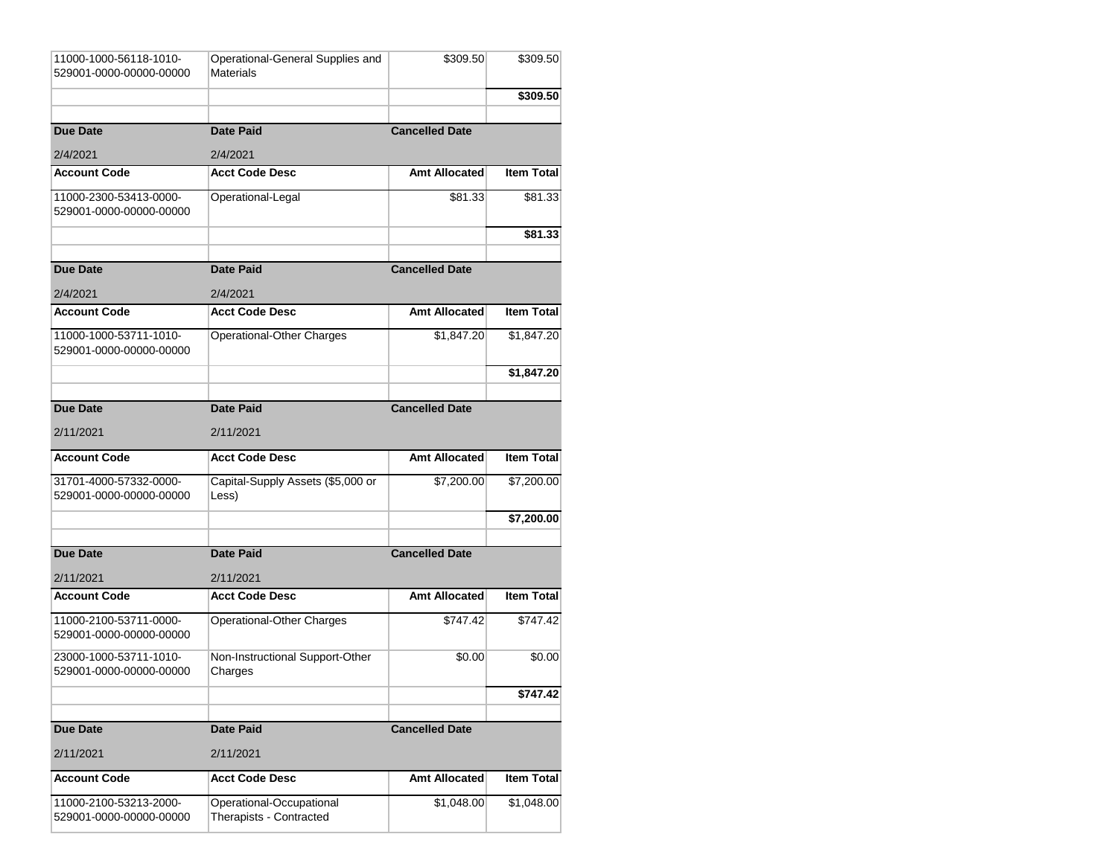| 11000-1000-56118-1010-<br>529001-0000-00000-00000 | Operational-General Supplies and<br>Materials | \$309.50              | \$309.50          |
|---------------------------------------------------|-----------------------------------------------|-----------------------|-------------------|
|                                                   |                                               |                       | \$309.50          |
| <b>Due Date</b>                                   | <b>Date Paid</b>                              | <b>Cancelled Date</b> |                   |
| 2/4/2021                                          | 2/4/2021                                      |                       |                   |
| <b>Account Code</b>                               | <b>Acct Code Desc</b>                         | Amt Allocated         | <b>Item Total</b> |
| 11000-2300-53413-0000-<br>529001-0000-00000-00000 | Operational-Legal                             | \$81.33               | \$81.33           |
|                                                   |                                               |                       | \$81.33           |
| <b>Due Date</b>                                   | <b>Date Paid</b>                              | <b>Cancelled Date</b> |                   |
|                                                   |                                               |                       |                   |
| 2/4/2021                                          | 2/4/2021                                      |                       |                   |
| <b>Account Code</b>                               | <b>Acct Code Desc</b>                         | Amt Allocated         | <b>Item Total</b> |
| 11000-1000-53711-1010-<br>529001-0000-00000-00000 | Operational-Other Charges                     | \$1,847.20            | \$1,847.20∣       |
|                                                   |                                               |                       | \$1,847.20        |
|                                                   |                                               |                       |                   |
| <b>Due Date</b>                                   | <b>Date Paid</b>                              | <b>Cancelled Date</b> |                   |
| 2/11/2021                                         | 2/11/2021                                     |                       |                   |
| <b>Account Code</b>                               | <b>Acct Code Desc</b>                         | Amt Allocated         | <b>Item Total</b> |
| 31701-4000-57332-0000-<br>529001-0000-00000-00000 | Capital-Supply Assets (\$5,000 or<br>Less)    | \$7,200.00            | \$7,200.00∣       |
|                                                   |                                               |                       | \$7,200.00        |
|                                                   |                                               |                       |                   |
| <b>Due Date</b>                                   | <b>Date Paid</b>                              | <b>Cancelled Date</b> |                   |
| 2/11/2021                                         | 2/11/2021                                     |                       |                   |
| <b>Account Code</b>                               | <b>Acct Code Desc</b>                         | Amt Allocated         | <b>Item Total</b> |
| 11000-2100-53711-0000-<br>529001-0000-00000-00000 | Operational-Other Charges                     | \$747.42              | \$747.42          |
| 23000-1000-53711-1010-<br>529001-0000-00000-00000 | Non-Instructional Support-Other<br>Charges    | \$0.00                | \$0.00            |
|                                                   |                                               |                       | \$747.42          |
|                                                   |                                               |                       |                   |
| <b>Due Date</b>                                   | <b>Date Paid</b>                              | <b>Cancelled Date</b> |                   |
| 2/11/2021                                         | 2/11/2021                                     |                       |                   |
| <b>Account Code</b>                               |                                               |                       |                   |
|                                                   | <b>Acct Code Desc</b>                         | Amt Allocated         | <b>Item Total</b> |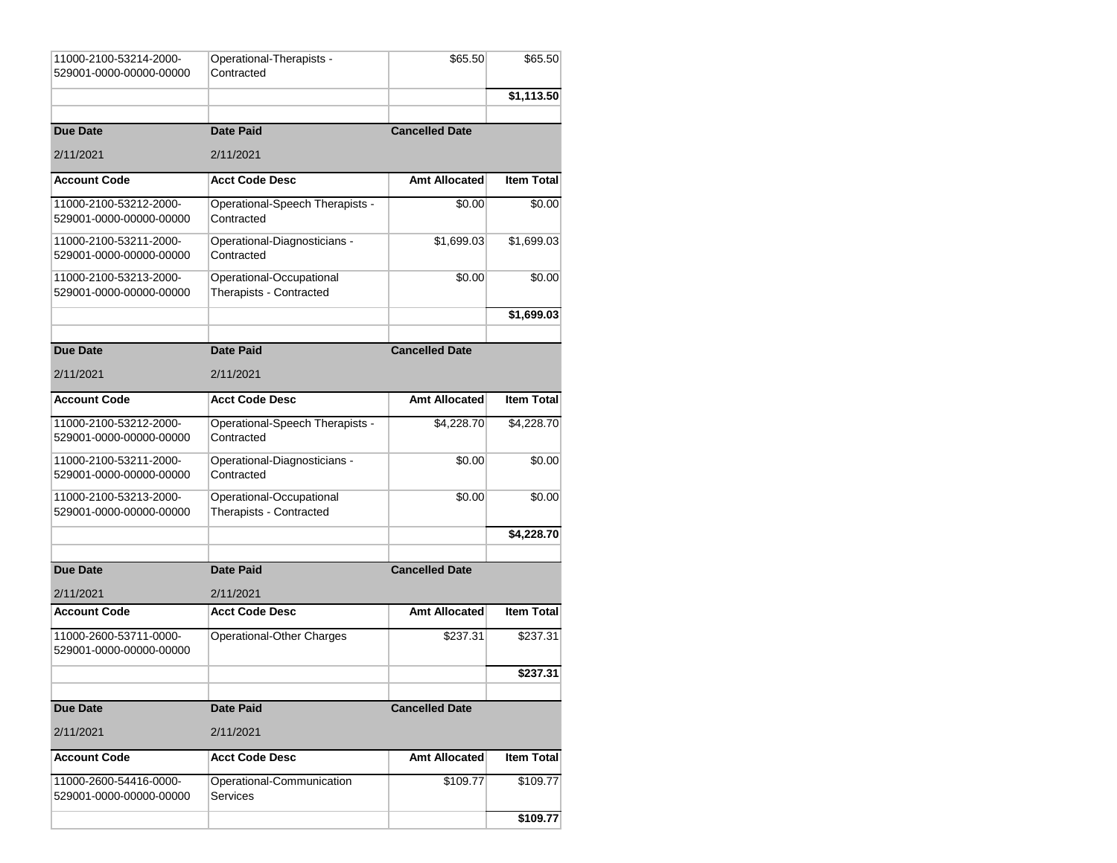| 11000-2100-53214-2000-<br>529001-0000-00000-00000 | Operational-Therapists -<br>Contracted              | \$65.50               | \$65.50           |
|---------------------------------------------------|-----------------------------------------------------|-----------------------|-------------------|
|                                                   |                                                     |                       | \$1,113.50        |
| <b>Due Date</b>                                   | <b>Date Paid</b>                                    | <b>Cancelled Date</b> |                   |
| 2/11/2021                                         | 2/11/2021                                           |                       |                   |
| <b>Account Code</b>                               | <b>Acct Code Desc</b>                               | Amt Allocated         | <b>Item Total</b> |
| 11000-2100-53212-2000-<br>529001-0000-00000-00000 | Operational-Speech Therapists -<br>Contracted       | \$0.00                | \$0.00            |
| 11000-2100-53211-2000-<br>529001-0000-00000-00000 | Operational-Diagnosticians -<br>Contracted          | \$1,699.03            | \$1,699.03        |
| 11000-2100-53213-2000-<br>529001-0000-00000-00000 | Operational-Occupational<br>Therapists - Contracted | \$0.00                | \$0.00            |
|                                                   |                                                     |                       | \$1,699.03        |
| <b>Due Date</b>                                   | <b>Date Paid</b>                                    | <b>Cancelled Date</b> |                   |
| 2/11/2021                                         | 2/11/2021                                           |                       |                   |
| <b>Account Code</b>                               | <b>Acct Code Desc</b>                               | <b>Amt Allocated</b>  | <b>Item Total</b> |
| 11000-2100-53212-2000-<br>529001-0000-00000-00000 | Operational-Speech Therapists -<br>Contracted       | \$4,228.70            | \$4,228.70        |
| 11000-2100-53211-2000-<br>529001-0000-00000-00000 | Operational-Diagnosticians -<br>Contracted          | \$0.00                | \$0.00            |
| 11000-2100-53213-2000-<br>529001-0000-00000-00000 | Operational-Occupational<br>Therapists - Contracted | \$0.00                | \$0.00            |
|                                                   |                                                     |                       | \$4,228.70        |
| <b>Due Date</b>                                   | <b>Date Paid</b>                                    | <b>Cancelled Date</b> |                   |
| 2/11/2021                                         | 2/11/2021                                           |                       |                   |
| <b>Account Code</b>                               | <b>Acct Code Desc</b>                               | <b>Amt Allocated</b>  | <b>Item Total</b> |
| 11000-2600-53711-0000-<br>529001-0000-00000-00000 | Operational-Other Charges                           | \$237.31              | \$237.31          |
|                                                   |                                                     |                       | \$237.31          |
| <b>Due Date</b>                                   | <b>Date Paid</b>                                    | <b>Cancelled Date</b> |                   |
| 2/11/2021                                         | 2/11/2021                                           |                       |                   |
| <b>Account Code</b>                               | <b>Acct Code Desc</b>                               | Amt Allocated         | <b>Item Total</b> |
| 11000-2600-54416-0000-<br>529001-0000-00000-00000 | Operational-Communication<br><b>Services</b>        | \$109.77              | \$109.77          |
|                                                   |                                                     |                       | \$109.77          |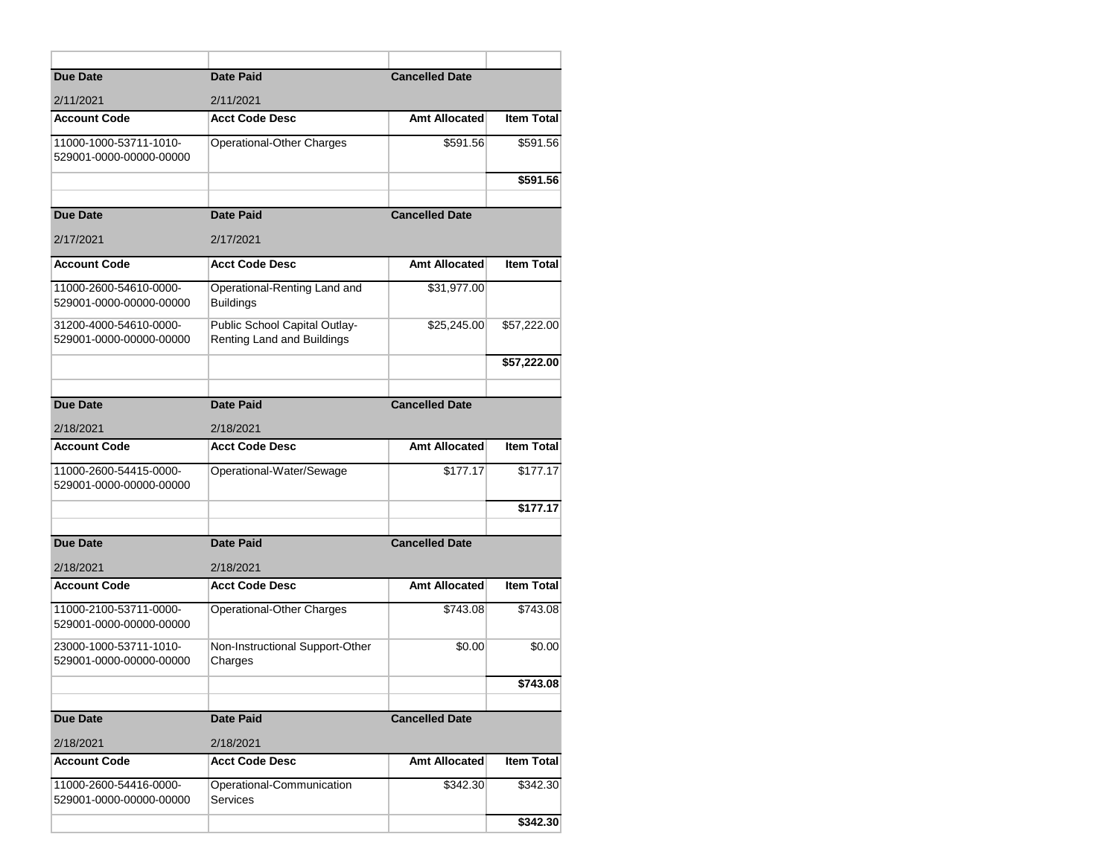| <b>Due Date</b>                                   | <b>Date Paid</b>                                            | <b>Cancelled Date</b> |                   |
|---------------------------------------------------|-------------------------------------------------------------|-----------------------|-------------------|
| 2/11/2021                                         | 2/11/2021                                                   |                       |                   |
| <b>Account Code</b>                               | <b>Acct Code Desc</b>                                       | Amt Allocated         | <b>Item Total</b> |
| 11000-1000-53711-1010-<br>529001-0000-00000-00000 | Operational-Other Charges                                   | \$591.56              | \$591.56          |
|                                                   |                                                             |                       | \$591.56          |
|                                                   |                                                             |                       |                   |
| Due Date                                          | <b>Date Paid</b>                                            | <b>Cancelled Date</b> |                   |
| 2/17/2021                                         | 2/17/2021                                                   |                       |                   |
| <b>Account Code</b>                               | <b>Acct Code Desc</b>                                       | Amt Allocated         | <b>Item Total</b> |
| 11000-2600-54610-0000-<br>529001-0000-00000-00000 | Operational-Renting Land and<br><b>Buildings</b>            | \$31,977.00           |                   |
| 31200-4000-54610-0000-<br>529001-0000-00000-00000 | Public School Capital Outlay-<br>Renting Land and Buildings | \$25,245.00           | \$57,222.00       |
|                                                   |                                                             |                       | \$57,222.00       |
|                                                   |                                                             |                       |                   |
| Due Date                                          | <b>Date Paid</b>                                            | <b>Cancelled Date</b> |                   |
| 2/18/2021                                         | 2/18/2021                                                   |                       |                   |
| <b>Account Code</b>                               | <b>Acct Code Desc</b>                                       | Amt Allocated         | <b>Item Total</b> |
| 11000-2600-54415-0000-<br>529001-0000-00000-00000 | Operational-Water/Sewage                                    | \$177.17              | \$177.17          |
|                                                   |                                                             |                       | \$177.17          |
|                                                   |                                                             |                       |                   |
| Due Date                                          | <b>Date Paid</b>                                            | <b>Cancelled Date</b> |                   |
| 2/18/2021                                         | 2/18/2021                                                   |                       |                   |
| <b>Account Code</b>                               | <b>Acct Code Desc</b>                                       | Amt Allocated         | <b>Item Total</b> |
| 11000-2100-53711-0000-<br>529001-0000-00000-00000 | Operational-Other Charges                                   | \$743.08              | \$743.08          |
| 23000-1000-53711-1010-<br>529001-0000-00000-00000 | Non-Instructional Support-Other<br>Charges                  | \$0.00                | \$0.00            |
|                                                   |                                                             |                       | \$743.08          |
|                                                   |                                                             |                       |                   |
| <b>Due Date</b>                                   | <b>Date Paid</b>                                            | <b>Cancelled Date</b> |                   |
| 2/18/2021                                         | 2/18/2021                                                   |                       |                   |
| <b>Account Code</b>                               | <b>Acct Code Desc</b>                                       | Amt Allocated         | <b>Item Total</b> |
| 11000-2600-54416-0000-<br>529001-0000-00000-00000 | Operational-Communication<br>Services                       | \$342.30              | \$342.30          |
|                                                   |                                                             |                       |                   |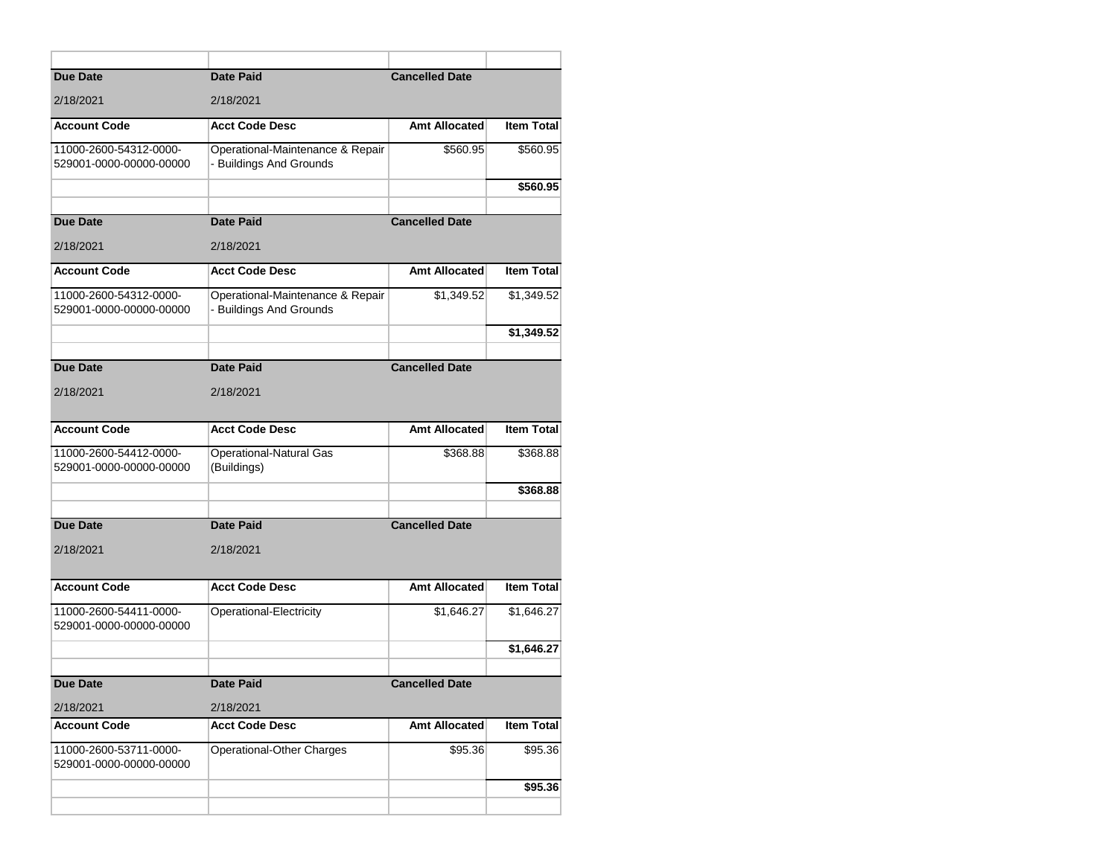| <b>Due Date</b>                                   | <b>Date Paid</b>                                            | <b>Cancelled Date</b> |                   |
|---------------------------------------------------|-------------------------------------------------------------|-----------------------|-------------------|
| 2/18/2021                                         | 2/18/2021                                                   |                       |                   |
| <b>Account Code</b>                               | <b>Acct Code Desc</b>                                       | <b>Amt Allocated</b>  | <b>Item Total</b> |
| 11000-2600-54312-0000-<br>529001-0000-00000-00000 | Operational-Maintenance & Repair<br>- Buildings And Grounds | \$560.95              | \$560.95          |
|                                                   |                                                             |                       | \$560.95          |
| <b>Due Date</b>                                   | <b>Date Paid</b>                                            | <b>Cancelled Date</b> |                   |
| 2/18/2021                                         | 2/18/2021                                                   |                       |                   |
| <b>Account Code</b>                               | <b>Acct Code Desc</b>                                       | <b>Amt Allocated</b>  | <b>Item Total</b> |
| 11000-2600-54312-0000-<br>529001-0000-00000-00000 | Operational-Maintenance & Repair<br>- Buildings And Grounds | \$1,349.52            | \$1,349.52        |
|                                                   |                                                             |                       | \$1,349.52        |
|                                                   |                                                             |                       |                   |
| <b>Due Date</b>                                   | <b>Date Paid</b>                                            | <b>Cancelled Date</b> |                   |
| 2/18/2021                                         | 2/18/2021                                                   |                       |                   |
| <b>Account Code</b>                               | <b>Acct Code Desc</b>                                       | <b>Amt Allocated</b>  | <b>Item Total</b> |
| 11000-2600-54412-0000-<br>529001-0000-00000-00000 | <b>Operational-Natural Gas</b><br>(Buildings)               | \$368.88              | \$368.88          |
|                                                   |                                                             |                       | \$368.88          |
|                                                   |                                                             |                       |                   |
| <b>Due Date</b>                                   | <b>Date Paid</b>                                            | <b>Cancelled Date</b> |                   |
| 2/18/2021                                         | 2/18/2021                                                   |                       |                   |
| <b>Account Code</b>                               | <b>Acct Code Desc</b>                                       | <b>Amt Allocated</b>  | <b>Item Total</b> |
| 11000-2600-54411-0000-<br>529001-0000-00000-00000 | Operational-Electricity                                     | \$1,646.27            | \$1,646.27        |
|                                                   |                                                             |                       | \$1,646.27        |
|                                                   |                                                             |                       |                   |
| <b>Due Date</b>                                   | Date Paid                                                   | <b>Cancelled Date</b> |                   |
| 2/18/2021                                         | 2/18/2021                                                   |                       |                   |
| <b>Account Code</b>                               | <b>Acct Code Desc</b>                                       | <b>Amt Allocated</b>  | <b>Item Total</b> |
| 11000-2600-53711-0000-<br>529001-0000-00000-00000 | Operational-Other Charges                                   | \$95.36               | \$95.36           |
|                                                   |                                                             |                       | \$95.36           |
|                                                   |                                                             |                       |                   |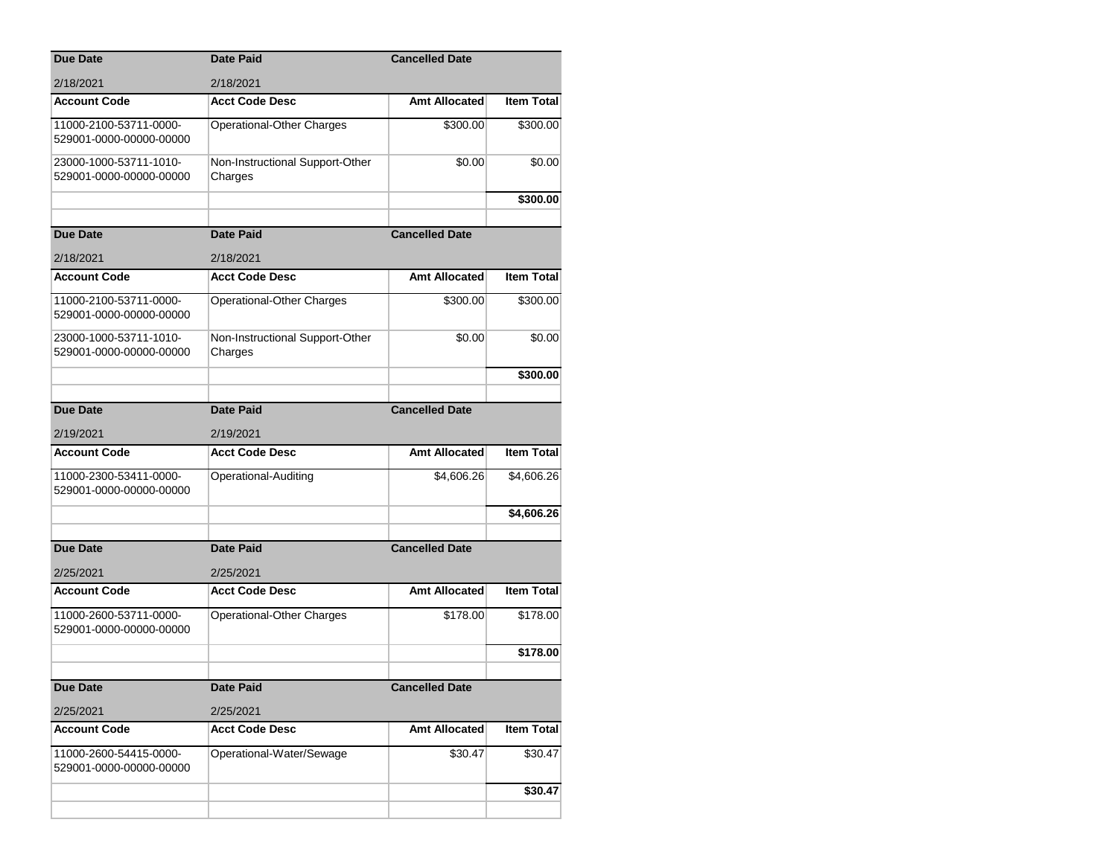| <b>Due Date</b>                                   | <b>Date Paid</b>                           | <b>Cancelled Date</b> |                   |
|---------------------------------------------------|--------------------------------------------|-----------------------|-------------------|
| 2/18/2021                                         | 2/18/2021                                  |                       |                   |
| <b>Account Code</b>                               | <b>Acct Code Desc</b>                      | <b>Amt Allocated</b>  | <b>Item Total</b> |
| 11000-2100-53711-0000-<br>529001-0000-00000-00000 | Operational-Other Charges                  | \$300.00              | \$300.00          |
| 23000-1000-53711-1010-<br>529001-0000-00000-00000 | Non-Instructional Support-Other<br>Charges | \$0.00                | \$0.00            |
|                                                   |                                            |                       | \$300.00          |
| <b>Due Date</b>                                   | <b>Date Paid</b>                           | <b>Cancelled Date</b> |                   |
| 2/18/2021                                         | 2/18/2021                                  |                       |                   |
| <b>Account Code</b>                               | <b>Acct Code Desc</b>                      | Amt Allocated         | <b>Item Total</b> |
|                                                   |                                            |                       |                   |
| 11000-2100-53711-0000-<br>529001-0000-00000-00000 | Operational-Other Charges                  | \$300.00              | \$300.00          |
| 23000-1000-53711-1010-<br>529001-0000-00000-00000 | Non-Instructional Support-Other<br>Charges | \$0.00                | \$0.00            |
|                                                   |                                            |                       | \$300.00          |
|                                                   |                                            |                       |                   |
| <b>Due Date</b>                                   | <b>Date Paid</b>                           | <b>Cancelled Date</b> |                   |
| 2/19/2021                                         | 2/19/2021                                  |                       |                   |
| <b>Account Code</b>                               | <b>Acct Code Desc</b>                      | Amt Allocated         | <b>Item Total</b> |
| 11000-2300-53411-0000-<br>529001-0000-00000-00000 | Operational-Auditing                       | \$4,606.26            | \$4,606.26        |
|                                                   |                                            |                       | \$4,606.26        |
|                                                   |                                            |                       |                   |
| <b>Due Date</b>                                   | <b>Date Paid</b>                           | <b>Cancelled Date</b> |                   |
| 2/25/2021                                         | 2/25/2021                                  |                       |                   |
| <b>Account Code</b>                               | <b>Acct Code Desc</b>                      | <b>Amt Allocated</b>  | <b>Item Total</b> |
| 11000-2600-53711-0000-<br>529001-0000-00000-00000 | Operational-Other Charges                  | \$178.00              | \$178.00          |
|                                                   |                                            |                       | \$178.00          |
|                                                   |                                            |                       |                   |
| <b>Due Date</b>                                   | Date Paid                                  | <b>Cancelled Date</b> |                   |
| 2/25/2021                                         | 2/25/2021                                  |                       |                   |
| <b>Account Code</b>                               | <b>Acct Code Desc</b>                      | Amt Allocated         | <b>Item Total</b> |
| 11000-2600-54415-0000-<br>529001-0000-00000-00000 | Operational-Water/Sewage                   | \$30.47               | \$30.47           |
|                                                   |                                            |                       | \$30.47           |
|                                                   |                                            |                       |                   |